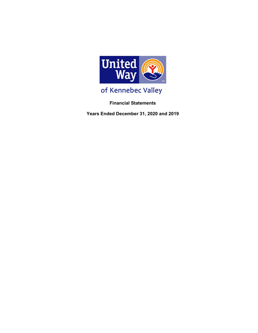

# of Kennebec Valley

 **Financial Statements** 

 **Years Ended December 31, 2020 and 2019**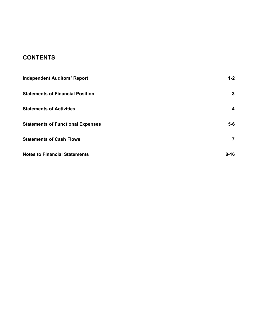## **CONTENTS**

| <b>Independent Auditors' Report</b>      | $1-2$    |
|------------------------------------------|----------|
| <b>Statements of Financial Position</b>  | 3        |
| <b>Statements of Activities</b>          | 4        |
| <b>Statements of Functional Expenses</b> | $5-6$    |
| <b>Statements of Cash Flows</b>          | 7        |
| <b>Notes to Financial Statements</b>     | $8 - 16$ |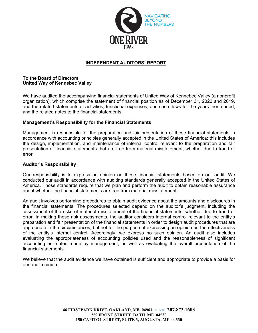

#### **INDEPENDENT AUDITORS' REPORT**

#### **To the Board of Directors United Way of Kennebec Valley**

We have audited the accompanying financial statements of United Way of Kennebec Valley (a nonprofit organization), which comprise the statement of financial position as of December 31, 2020 and 2019, and the related statements of activities, functional expenses, and cash flows for the years then ended, and the related notes to the financial statements.

#### **Management's Responsibility for the Financial Statements**

Management is responsible for the preparation and fair presentation of these financial statements in accordance with accounting principles generally accepted in the United States of America; this includes the design, implementation, and maintenance of internal control relevant to the preparation and fair presentation of financial statements that are free from material misstatement, whether due to fraud or error.

#### **Auditor's Responsibility**

Our responsibility is to express an opinion on these financial statements based on our audit. We conducted our audit in accordance with auditing standards generally accepted in the United States of America. Those standards require that we plan and perform the audit to obtain reasonable assurance about whether the financial statements are free from material misstatement.

An audit involves performing procedures to obtain audit evidence about the amounts and disclosures in the financial statements. The procedures selected depend on the auditor's judgment, including the assessment of the risks of material misstatement of the financial statements, whether due to fraud or error. In making those risk assessments, the auditor considers internal control relevant to the entity's preparation and fair presentation of the financial statements in order to design audit procedures that are appropriate in the circumstances, but not for the purpose of expressing an opinion on the effectiveness of the entity's internal control. Accordingly, we express no such opinion. An audit also includes evaluating the appropriateness of accounting policies used and the reasonableness of significant accounting estimates made by management, as well as evaluating the overall presentation of the financial statements.

We believe that the audit evidence we have obtained is sufficient and appropriate to provide a basis for our audit opinion.

> **46 FIRSTPARK DRIVE, OAKLAND, ME 04963** PHONE **207.873.1603 259 FRONT STREET, BATH, ME 04530 150 CAPITOL STREET, SUITE 3, AUGUSTA, ME 04330**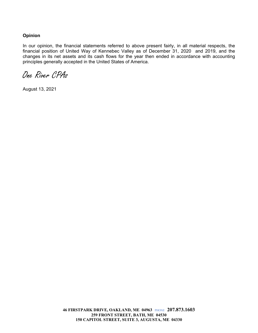#### **Opinion**

In our opinion, the financial statements referred to above present fairly, in all material respects, the financial position of United Way of Kennebec Valley as of December 31, 2020 and 2019, and the changes in its net assets and its cash flows for the year then ended in accordance with accounting principles generally accepted in the United States of America.

One River CPAs

August 13, 2021

**46 FIRSTPARK DRIVE, OAKLAND, ME 04963** PHONE **207.873.1603 259 FRONT STREET, BATH, ME 04530 150 CAPITOL STREET, SUITE 3, AUGUSTA, ME 04330**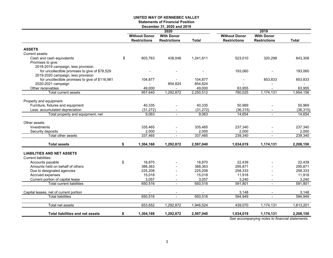#### **UNITED WAY OF KENNEBEC VALLEY**

#### **Statements of Financial Position**

|                                                 |                      | December 31, 2020 and 2019 |              |                      |                     |                      |  |
|-------------------------------------------------|----------------------|----------------------------|--------------|----------------------|---------------------|----------------------|--|
|                                                 |                      | 2020                       |              |                      | 2019                |                      |  |
|                                                 | <b>Without Donor</b> | <b>With Donor</b>          |              | <b>Without Donor</b> | <b>With Donor</b>   |                      |  |
|                                                 | <b>Restrictions</b>  | <b>Restrictions</b>        | <b>Total</b> | <b>Restrictions</b>  | <b>Restrictions</b> | <b>Total</b>         |  |
| <b>ASSETS</b>                                   |                      |                            |              |                      |                     |                      |  |
|                                                 |                      |                            |              |                      |                     |                      |  |
| Current assets:                                 |                      |                            |              |                      |                     |                      |  |
| Cash and cash equivalents                       | \$<br>803,763        | 438,048                    | 1,241,811    | 523,010              | 320,298             | 843,308              |  |
| Promises to give:                               |                      |                            |              |                      |                     |                      |  |
| 2018-2019 campaign, less provision              |                      |                            |              |                      |                     |                      |  |
| for uncollectible promises to give of \$78,529  |                      |                            |              | 193,060              |                     | 193,060              |  |
| 2019-2020 campaign, less provision              |                      |                            |              |                      |                     |                      |  |
| for uncollectible promises to give of \$116,981 | 104,877              |                            | 104,877      |                      | 853,833             | 853,833              |  |
| 2020-2021 campaign                              |                      | 854,824                    | 854,824      |                      |                     |                      |  |
| Other receivables                               | 49.000               | $\blacksquare$             | 49,000       | 63,955               |                     | 63.955               |  |
| <b>Total current assets</b>                     | 957,640              | 1,292,872                  | 2,250,512    | 780,025              | 1,174,131           | 1,954,156            |  |
|                                                 |                      |                            |              |                      |                     |                      |  |
| Property and equipment:                         |                      |                            |              |                      |                     |                      |  |
| Furniture, fixtures and equipment               | 40,335               |                            | 40,335       | 50,969               |                     | 50,969               |  |
| Less: accumulated depreciation                  | (31, 272)            |                            | (31, 272)    | (36, 315)            |                     | (36, 315)            |  |
| Total property and equipment, net               | 9,063                |                            | 9,063        | 14,654               |                     | 14,654               |  |
|                                                 |                      |                            |              |                      |                     |                      |  |
| Other assets:                                   |                      |                            |              |                      |                     |                      |  |
| Investments                                     | 335,465              |                            | 335,465      | 237,340              |                     | 237,340              |  |
| Security deposits                               | 2,000                |                            | 2,000        | 2,000                |                     | 2,000                |  |
| Total other assets                              | 337,465              | $\sim$                     | 337,465      | 239,340              | $\sim$              | 239,340              |  |
| <b>Total assets</b>                             | \$<br>1,304,168      | 1,292,872                  | 2,597,040    | 1,034,019            | 1,174,131           | 2,208,150            |  |
|                                                 |                      |                            |              |                      |                     |                      |  |
| <b>LIABILITIES AND NET ASSETS</b>               |                      |                            |              |                      |                     |                      |  |
| Current liabilities:                            |                      |                            |              |                      |                     |                      |  |
| Accounts payable                                | \$<br>18,870         |                            | 18,870       | 22,439               |                     | 22,439               |  |
| Amounts held on behalf of others                | 388,363              |                            | 388,363      | 295,871              |                     | 295,871              |  |
| Due to designated agencies                      | 225,208              |                            | 225,208      | 258,333              |                     | 258,333              |  |
| Accrued expenses                                | 15,018               |                            | 15,018       | 11,918               |                     | 11,918               |  |
| Current portion of capital lease                | 3,057                |                            | 3,057        | 3,240                |                     | 3,240                |  |
| <b>Total current liabilities</b>                | 650,516              | $\sim$                     | 650,516      | 591,801              |                     | $\overline{591,801}$ |  |
|                                                 |                      |                            |              |                      |                     |                      |  |
| Capital leases, net of current portion          |                      |                            |              | 3,148                |                     | 3,148                |  |
| <b>Total liabilities</b>                        | 650,516              |                            | 650,516      | 594,949              |                     | 594,949              |  |
| Total net assets                                | 653,652              | 1,292,872                  | 1,946,524    | 439,070              | 1,174,131           | 1,613,201            |  |
|                                                 |                      |                            |              |                      |                     |                      |  |
| <b>Total liabilities and net assets</b>         | \$<br>1,304,168      | 1,292,872                  | 2,597,040    | 1,034,019            | 1,174,131           | 2,208,150            |  |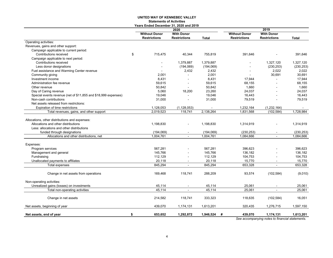#### **UNITED WAY OF KENNEBEC VALLEY Statements of Activities Years Ended December 31, 2020 and 2019**

|                                                                | Years Ended December 31, 2020 and 2019 | 2020                |                 | 2019                 |                          |              |
|----------------------------------------------------------------|----------------------------------------|---------------------|-----------------|----------------------|--------------------------|--------------|
|                                                                | <b>Without Donor</b>                   | <b>With Donor</b>   |                 | <b>Without Donor</b> | <b>With Donor</b>        |              |
|                                                                | <b>Restrictions</b>                    | <b>Restrictions</b> | <b>Total</b>    | <b>Restrictions</b>  | <b>Restrictions</b>      | <b>Total</b> |
| Operating activities:                                          |                                        |                     |                 |                      |                          |              |
| Revenues, gains and other support:                             |                                        |                     |                 |                      |                          |              |
| Campaign applicable to current period:                         |                                        |                     |                 |                      |                          |              |
| Contributions received<br>\$                                   | 715,475                                | 40,344              | 755,819         | 391,646              |                          | 391,646      |
| Campaign applicable to next period:                            |                                        |                     |                 |                      |                          |              |
| Contributions received                                         |                                        | 1,379,887           | 1,379,887       |                      | 1,327,120                | 1,327,120    |
| Less donor designations                                        | $\overline{\phantom{a}}$               | (194,069)           | (194, 069)      |                      | (230, 253)               | (230, 253)   |
| Fuel assistance and Warming Center revenue                     |                                        | 2,432               | 2,432           |                      | 2,022                    | 2,022        |
| Community giving                                               | 2,001                                  |                     | 2,001           |                      | 30,691                   | 30,691       |
| Investment income                                              | 8,431                                  |                     | 8,431           | 17,944               |                          | 17,944       |
| Administration fee revenue                                     | 59,615                                 | $\sim$              | 59,615          | 68,155               |                          | 68,155       |
| Other revenue                                                  | 50,842                                 |                     | 50,842          | 1,660                |                          | 1,660        |
| Day of Caring revenue                                          | 5,060                                  | 18,200              | 23,260          | 24,037               |                          | 24,037       |
| Special events revenue (net of \$11,855 and \$18,999 expenses) | 19,046                                 |                     | 19,046          | 16,443               |                          | 16,443       |
| Non-cash contributions                                         | 31,000                                 |                     | 31,000          | 79,519               |                          | 79,519       |
| Net assets released from restrictions:                         |                                        |                     |                 |                      |                          |              |
| Expiration of time restrictions                                | 1,128,053                              | (1, 128, 053)       |                 | 1,232,164            | (1, 232, 164)            |              |
| Total revenues, gains, and other support                       | 2,019,523                              | 118,741             | 2,138,264       | 1,831,568            | (102, 584)               | 1,728,984    |
|                                                                |                                        |                     |                 |                      |                          |              |
| Allocations, other distributions and expenses:                 |                                        |                     |                 |                      |                          |              |
| Allocations and other distributions                            | 1,198,830                              |                     | 1,198,830       | 1,314,919            |                          | 1,314,919    |
| Less: allocations and other distributions                      |                                        |                     |                 |                      |                          |              |
| funded through designations                                    | (194,069)                              | $\sim$              | (194, 069)      | (230, 253)           | $\blacksquare$           | (230, 253)   |
| Allocations and other distributions, net                       | 1,004,761                              | $\sim$              | 1,004,761       | 1,084,666            |                          | 1,084,666    |
|                                                                |                                        |                     |                 |                      |                          |              |
| Expenses:                                                      |                                        |                     |                 |                      |                          |              |
| Program services                                               | 567,281                                |                     | 567,281         | 396,623              |                          | 396,623      |
| Management and general                                         | 145,766                                | $\blacksquare$      | 145,766         | 136,182              |                          | 136,182      |
| Fundraising                                                    | 112,129                                |                     | 112,129         | 104,753              |                          | 104,753      |
| Unallocated payments to affiliates                             | 20,118                                 | $\sim$              | 20,118          | 15,770               |                          | 15,770       |
| Total expenses                                                 | 845,294                                | $\sim$              | 845,294         | 653,328              | $\blacksquare$           | 653,328      |
| Change in net assets from operations                           | 169,468                                | 118,741             | 288,209         | 93,574               | (102, 584)               | (9,010)      |
|                                                                |                                        |                     |                 |                      |                          |              |
| Non-operating activities:                                      |                                        |                     |                 |                      |                          |              |
| Unrealized gains (losses) on investments                       | 45,114                                 | $\sim$              | 45,114          | 25,061               | $\overline{\phantom{a}}$ | 25,061       |
| Total non-operating activities                                 | 45,114                                 |                     | 45,114          | 25,061               |                          | 25,061       |
| Change in net assets                                           | 214,582                                | 118,741             | 333,323         | 118,635              | (102, 584)               | 16,051       |
|                                                                |                                        |                     |                 |                      |                          |              |
| Net assets, beginning of year                                  | 439,070                                | 1,174,131           | 1,613,201       | 320,435              | 1,276,715                | 1,597,150    |
| \$<br>Net assets, end of year                                  | 653,652                                | 1,292,872           | 1,946,524<br>-# | 439,070              | 1,174,131                | 1,613,201    |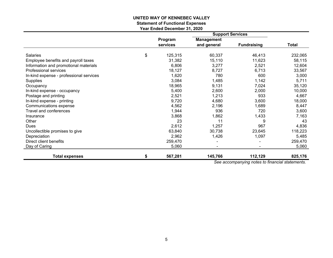#### **UNITED WAY OF KENNEBEC VALLEYStatement of Functional Expenses**

**Year Ended December 31, 2020**

|                                         |               | <b>Support Services</b> |                                                |              |
|-----------------------------------------|---------------|-------------------------|------------------------------------------------|--------------|
|                                         | Program       | <b>Management</b>       |                                                |              |
|                                         | services      | and general             | <b>Fundraising</b>                             | <b>Total</b> |
|                                         |               |                         |                                                |              |
| <b>Salaries</b>                         | \$<br>125,315 | 60,337                  | 46,413                                         | 232,065      |
| Employee benefits and payroll taxes     | 31,382        | 15,110                  | 11,623                                         | 58,115       |
| Information and promotional materials   | 6,806         | 3,277                   | 2,521                                          | 12,604       |
| Professional services                   | 18,127        | 8,727                   | 6,713                                          | 33,567       |
| In-kind expense - professional services | 1,620         | 780                     | 600                                            | 3,000        |
| Supplies                                | 3,084         | 1,485                   | 1,142                                          | 5,711        |
| Occupancy                               | 18,965        | 9,131                   | 7,024                                          | 35,120       |
| In-kind expense - occupancy             | 5,400         | 2,600                   | 2,000                                          | 10,000       |
| Postage and printing                    | 2,521         | 1,213                   | 933                                            | 4,667        |
| In-kind expense - printing              | 9,720         | 4,680                   | 3,600                                          | 18,000       |
| Communications expense                  | 4,562         | 2,196                   | 1,689                                          | 8,447        |
| Travel and conferences                  | 1,944         | 936                     | 720                                            | 3,600        |
| Insurance                               | 3,868         | 1,862                   | 1,433                                          | 7,163        |
| Other                                   | 23            | 11                      | 9                                              | 43           |
| Dues                                    | 2,612         | 1,257                   | 967                                            | 4,836        |
| Uncollectible promises to give          | 63,840        | 30,738                  | 23,645                                         | 118,223      |
| Depreciation                            | 2,962         | 1,426                   | 1,097                                          | 5,485        |
| Direct client benefits                  | 259,470       |                         |                                                | 259,470      |
| Day of Caring                           | 5,060         |                         |                                                | 5,060        |
| <b>Total expenses</b>                   | \$<br>567,281 | 145,766                 | 112,129                                        | 825,176      |
|                                         |               |                         | See accompanying notes to financial statements |              |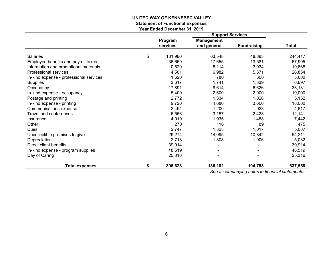### **UNITED WAY OF KENNEBEC VALLEY**

## **Statement of Functional Expenses**

**Year Ended December 31, 2019**

| Program  | <b>Management</b>                                                                                                                                             |                                                                                                                             |                                                                                                                                                       |
|----------|---------------------------------------------------------------------------------------------------------------------------------------------------------------|-----------------------------------------------------------------------------------------------------------------------------|-------------------------------------------------------------------------------------------------------------------------------------------------------|
| services | and general                                                                                                                                                   | <b>Fundraising</b>                                                                                                          | <b>Total</b>                                                                                                                                          |
|          |                                                                                                                                                               |                                                                                                                             |                                                                                                                                                       |
|          |                                                                                                                                                               |                                                                                                                             | 244,417                                                                                                                                               |
|          |                                                                                                                                                               |                                                                                                                             | 67,905                                                                                                                                                |
|          |                                                                                                                                                               |                                                                                                                             | 19,668                                                                                                                                                |
|          |                                                                                                                                                               |                                                                                                                             | 26,854                                                                                                                                                |
|          |                                                                                                                                                               |                                                                                                                             | 3,000                                                                                                                                                 |
| 3,617    | 1,741                                                                                                                                                         | 1,339                                                                                                                       | 6,697                                                                                                                                                 |
| 17,891   | 8,614                                                                                                                                                         | 6,626                                                                                                                       | 33,131                                                                                                                                                |
| 5,400    | 2,600                                                                                                                                                         | 2,000                                                                                                                       | 10,000                                                                                                                                                |
|          |                                                                                                                                                               |                                                                                                                             | 5,132                                                                                                                                                 |
|          |                                                                                                                                                               |                                                                                                                             | 18,000                                                                                                                                                |
|          | 1,200                                                                                                                                                         | 923                                                                                                                         | 4,617                                                                                                                                                 |
|          |                                                                                                                                                               |                                                                                                                             | 12,141                                                                                                                                                |
|          |                                                                                                                                                               |                                                                                                                             | 7,442                                                                                                                                                 |
|          |                                                                                                                                                               |                                                                                                                             | 475                                                                                                                                                   |
|          |                                                                                                                                                               |                                                                                                                             | 5,087                                                                                                                                                 |
|          |                                                                                                                                                               |                                                                                                                             | 54,211                                                                                                                                                |
|          |                                                                                                                                                               |                                                                                                                             | 5,032                                                                                                                                                 |
|          |                                                                                                                                                               |                                                                                                                             | 39,914                                                                                                                                                |
|          |                                                                                                                                                               |                                                                                                                             | 48,519                                                                                                                                                |
| 25,316   |                                                                                                                                                               |                                                                                                                             | 25,316                                                                                                                                                |
|          |                                                                                                                                                               |                                                                                                                             | 637,558                                                                                                                                               |
| \$<br>\$ | 131,986<br>36,669<br>10,620<br>14,501<br>1,620<br>2,772<br>9,720<br>2,494<br>6,556<br>4,019<br>270<br>2,747<br>29,274<br>2,718<br>39,914<br>48,519<br>396,623 | 63,548<br>17,655<br>5,114<br>6,982<br>780<br>1,334<br>4,680<br>3,157<br>1,935<br>116<br>1,323<br>14,095<br>1,308<br>136,182 | <b>Support Services</b><br>48,883<br>13,581<br>3,934<br>5,371<br>600<br>1,026<br>3,600<br>2,428<br>1,488<br>89<br>1,017<br>10,842<br>1,006<br>104,753 |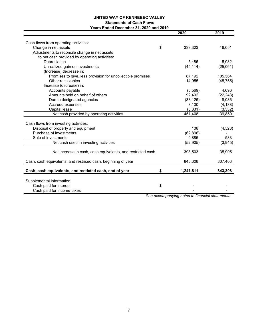#### **UNITED WAY OF KENNEBEC VALLEY**

#### **Statements of Cash Flows**

 **Years Ended December 31, 2020 and 2019** 

| 16,051<br>333,323<br>5,485<br>5,032<br>(45, 114)<br>(25,061)<br>105,564<br>87,192<br>14,955<br>(45, 755)<br>(3, 569)<br>4,696<br>(22, 243)<br>92,492<br>(33, 125)<br>9,086 |
|----------------------------------------------------------------------------------------------------------------------------------------------------------------------------|
|                                                                                                                                                                            |
|                                                                                                                                                                            |
|                                                                                                                                                                            |
|                                                                                                                                                                            |
|                                                                                                                                                                            |
|                                                                                                                                                                            |
|                                                                                                                                                                            |
|                                                                                                                                                                            |
|                                                                                                                                                                            |
|                                                                                                                                                                            |
|                                                                                                                                                                            |
|                                                                                                                                                                            |
|                                                                                                                                                                            |
| (4, 188)<br>3,100                                                                                                                                                          |
| (3, 331)<br>(3, 332)                                                                                                                                                       |
| 39,850<br>451,408                                                                                                                                                          |
|                                                                                                                                                                            |
| 106<br>(4, 528)                                                                                                                                                            |
| (62, 896)                                                                                                                                                                  |
| 583<br>9,885                                                                                                                                                               |
| (52, 905)<br>(3,945)                                                                                                                                                       |
|                                                                                                                                                                            |
| 35,905<br>398,503                                                                                                                                                          |
| 843,308<br>807,403                                                                                                                                                         |
| 843,308                                                                                                                                                                    |
| 1,241,811                                                                                                                                                                  |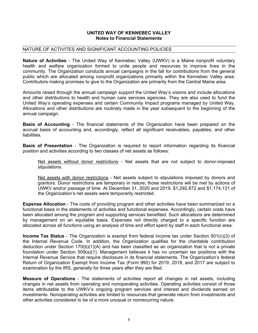#### NATURE OF ACTIVITES AND SIGNIFICANT ACCOUNTING POLICIES

**Nature of Activities** - The United Way of Kennebec Valley (UWKV) is a Maine nonprofit voluntary health and welfare organization formed to unite people and resources to improve lives in the community. The Organization conducts annual campaigns in the fall for contributions from the general public which are allocated among nonprofit organizations primarily within the Kennebec Valley area. Contributors making promises to give to the Organization are primarily from the Central Maine area.

Amounts raised through the annual campaign support the United Way's visions and include allocations and other distributions to health and human care services agencies. They are also used to fund the United Way's operating expenses and certain Community Impact programs managed by United Way. Allocations and other distributions are routinely made in the year subsequent to the beginning of the annual campaign.

**Basis of Accounting** - The financial statements of the Organization have been prepared on the accrual basis of accounting and, accordingly, reflect all significant receivables, payables, and other liabilities.

**Basis of Presentation** - The Organization is required to report information regarding its financial position and activities according to two classes of net assets as follows:

Net assets without donor restrictions - Net assets that are not subject to donor-imposed stipulations.

Net assets with donor restrictions - Net assets subject to stipulations imposed by donors and grantors. Donor restrictions are temporary in nature; those restrictions will be met by actions of UWKV and/or passage of time. At December 31, 2020 and 2019, \$1,292,872 and \$1,174,131 of the Organization's net assets were temporarily restricted.

**Expense Allocation** - The costs of providing program and other activities have been summarized on a functional basis in the statements of activities and functional expenses. Accordingly, certain costs have been allocated among the program and supporting services benefited. Such allocations are determined by management on an equitable basis. Expenses not directly charged to a specific function are allocated across all functions using an analysis of time and effort spent by staff in each functional area.

**Income Tax Status** - The Organization is exempt from federal income tax under Section 501(c)(3) of the Internal Revenue Code. In addition, the Organization qualifies for the charitable contribution deduction under Section 170(b)(1)(A) and has been classified as an organization that is not a private foundation under Section 509(a)(1). Management believes it has no uncertain tax positions with the Internal Revenue Service that require disclosure in its financial statements. The Organization's federal Return of Organization Exempt from Income Tax (Form 990) for 2019, 2018, and 2017 are subject to examination by the IRS, generally for three years after they are filed.

**Measure of Operations** - The statements of activities report all changes in net assets, including changes in net assets from operating and nonoperating activities. Operating activities consist of those items attributable to the UWKV's ongoing program services and interest and dividends earned on investments. Nonoperating activities are limited to resources that generate return from investments and other activities considered to be of a more unusual or nonrecurring nature.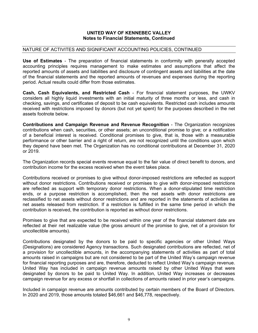#### NATURE OF ACTIVITES AND SIGNIFICANT ACCOUNTING POLICIES, CONTINUED

**Use of Estimates** - The preparation of financial statements in conformity with generally accepted accounting principles requires management to make estimates and assumptions that affect the reported amounts of assets and liabilities and disclosure of contingent assets and liabilities at the date of the financial statements and the reported amounts of revenues and expenses during the reporting period. Actual results could differ from those estimates.

**Cash, Cash Equivalents, and Restricted Cash** - For financial statement purposes, the UWKV considers all highly liquid investments with an initial maturity of three months or less, and cash in checking, savings, and certificates of deposit to be cash equivalents. Restricted cash includes amounts received with restrictions imposed by donors (but not yet spent) for the purposes described in the net assets footnote below.

**Contributions and Campaign Revenue and Revenue Recognition** - The Organization recognizes contributions when cash, securities, or other assets; an unconditional promise to give; or a notification of a beneficial interest is received. Conditional promises to give, that is, those with a measurable performance or other barrier and a right of return, are not recognized until the conditions upon which they depend have been met. The Organization has no conditional contributions at December 31, 2020 or 2019.

The Organization records special events revenue equal to the fair value of direct benefit to donors, and contribution income for the excess received when the event takes place.

Contributions received or promises to give without donor-imposed restrictions are reflected as support without donor restrictions. Contributions received or promises to give with donor-imposed restrictions are reflected as support with temporary donor restrictions. When a donor-stipulated time restriction ends, or a purpose restriction is accomplished, then the net assets with donor restrictions are reclassified to net assets without donor restrictions and are reported in the statements of activities as net assets released from restriction. If a restriction is fulfilled in the same time period in which the contribution is received, the contribution is reported as without donor restrictions.

Promises to give that are expected to be received within one year of the financial statement date are reflected at their net realizable value (the gross amount of the promise to give, net of a provision for uncollectible amounts).

Contributions designated by the donors to be paid to specific agencies or other United Ways (Designations) are considered Agency transactions. Such designated contributions are reflected, net of a provision for uncollectible amounts, in the accompanying statements of activities as part of total amounts raised in campaigns but are not considered to be part of the United Way's campaign revenue for financial reporting purposes and are, therefore, deducted to reflect United Way's campaign revenue. United Way has included in campaign revenue amounts raised by other United Ways that were designated by donors to be paid to United Way. In addition, United Way increases or decreases campaign revenue for any excess or shortfall in collections of amounts raised in prior year's campaigns.

Included in campaign revenue are amounts contributed by certain members of the Board of Directors. In 2020 and 2019, those amounts totaled \$46,661 and \$46,778, respectively.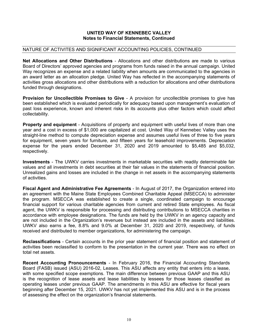#### NATURE OF ACTIVITES AND SIGNIFICANT ACCOUNTING POLICIES, CONTINUED

**Net Allocations and Other Distributions** - Allocations and other distributions are made to various Board of Directors' approved agencies and programs from funds raised in the annual campaign. United Way recognizes an expense and a related liability when amounts are communicated to the agencies in an award letter as an allocation pledge. United Way has reflected in the accompanying statements of activities gross allocations and other distributions with a reduction for allocations and other distributions funded through designations.

**Provision for Uncollectible Promises to Give** - A provision for uncollectible promises to give has been established which is evaluated periodically for adequacy based upon management's evaluation of past loss experience, known and inherent risks in its accounts plus other factors which could affect collectability.

**Property and equipment** - Acquisitions of property and equipment with useful lives of more than one year and a cost in excess of \$1,000 are capitalized at cost. United Way of Kennebec Valley uses the straight-line method to compute depreciation expense and assumes useful lives of three to five years for equipment, seven years for furniture, and fifteen years for leasehold improvements. Depreciation expense for the years ended December 31, 2020 and 2019 amounted to \$5,485 and \$5,032, respectively.

**Investments** - The UWKV carries investments in marketable securities with readily determinable fair values and all investments in debt securities at their fair values in the statements of financial position. Unrealized gains and losses are included in the change in net assets in the accompanying statements of activities.

**Fiscal Agent and Administrative Fee Agreements** - In August of 2017, the Organization entered into an agreement with the Maine State Employees Combined Charitable Appeal (MSECCA) to administer the program. MSECCA was established to create a single, coordinated campaign to encourage financial support for various charitable agencies from current and retired State employees. As fiscal agent, the UWKV is responsible for processing and distributing contributions to MSECCA charities in accordance with employee designations. The funds are held by the UWKV in an agency capacity and are not included in the Organization's revenues but instead are included in the assets and liabilities. UWKV also earns a fee, 8.8% and 9.0% at December 31, 2020 and 2019, respectively, of funds received and distributed to member organizations, for administering the campaign.

**Reclassifications** - Certain accounts in the prior year statement of financial position and statement of activities been reclassified to conform to the presentation in the current year. There was no effect on total net assets.

**Recent Accounting Pronouncements** - In February 2016, the Financial Accounting Standards Board (FASB) issued (ASU) 2016-02, Leases. This ASU affects any entity that enters into a lease, with some specified scope exemptions. The main difference between previous GAAP and this ASU is the recognition of lease assets and lease liabilities by lessees for those leases classified as operating leases under previous GAAP. The amendments in this ASU are effective for fiscal years beginning after December 15, 2021. UWKV has not yet implemented this ASU and is in the process of assessing the effect on the organization's financial statements.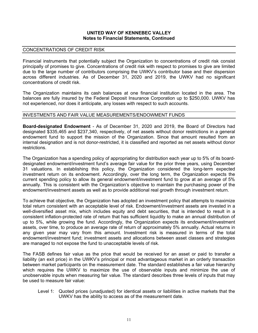#### CONCENTRATIONS OF CREDIT RISK

Financial instruments that potentially subject the Organization to concentrations of credit risk consist principally of promises to give. Concentrations of credit risk with respect to promises to give are limited due to the large number of contributors comprising the UWKV's contributor base and their dispersion across different industries. As of December 31, 2020 and 2019, the UWKV had no significant concentrations of credit risk.

The Organization maintains its cash balances at one financial institution located in the area. The balances are fully insured by the Federal Deposit Insurance Corporation up to \$250,000. UWKV has not experienced, nor does it anticipate, any losses with respect to such accounts.

#### INVESTMENTS AND FAIR VALUE MEASUREMENTS/ENDOWMENT FUNDS

**Board-designated Endowment** - As of December 31, 2020 and 2019, the Board of Directors had designated \$335,465 and \$237,340, respectively, of net assets without donor restrictions in a general endowment fund to support the mission of the Organization. Since that amount resulted from an internal designation and is not donor-restricted, it is classified and reported as net assets without donor restrictions.

The Organization has a spending policy of appropriating for distribution each year up to 5% of its boarddesignated endowment/investment fund's average fair value for the prior three years, using December 31 valuations. In establishing this policy, the Organization considered the long-term expected investment return on its endowment. Accordingly, over the long term, the Organization expects the current spending policy to allow its general endowment/investment fund to grow at an average of 5% annually. This is consistent with the Organization's objective to maintain the purchasing power of the endowment/investment assets as well as to provide additional real growth through investment return.

To achieve that objective, the Organization has adopted an investment policy that attempts to maximize total return consistent with an acceptable level of risk. Endowment/investment assets are invested in a well-diversified asset mix, which includes equity and debt securities, that is intended to result in a consistent inflation-protected rate of return that has sufficient liquidity to make an annual distribution of up to 5%, while growing the fund. Accordingly, the Organization expects its endowment/investment assets, over time, to produce an average rate of return of approximately 5% annually. Actual returns in any given year may vary from this amount. Investment risk is measured in terms of the total endowment/investment fund; investment assets and allocations between asset classes and strategies are managed to not expose the fund to unacceptable levels of risk.

The FASB defines fair value as the price that would be received for an asset or paid to transfer a liability (an exit price) in the UWKV's principal or most advantageous market in an orderly transaction between market participants on the measurement date. The standard establishes a fair value hierarchy which requires the UWKV to maximize the use of observable inputs and minimize the use of unobservable inputs when measuring fair value. The standard describes three levels of inputs that may be used to measure fair value:

Level 1: Quoted prices (unadjusted) for identical assets or liabilities in active markets that the UWKV has the ability to access as of the measurement date.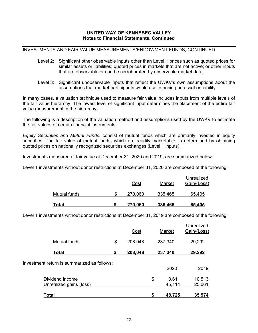#### INVESTMENTS AND FAIR VALUE MEASUREMENTS/ENDOWMENT FUNDS, CONTINUED

- Level 2: Significant other observable inputs other than Level 1 prices such as quoted prices for similar assets or liabilities; quoted prices in markets that are not active; or other inputs that are observable or can be corroborated by observable market data.
- Level 3: Significant unobservable inputs that reflect the UWKV's own assumptions about the assumptions that market participants would use in pricing an asset or liability.

In many cases, a valuation technique used to measure fair value includes inputs from multiple levels of the fair value hierarchy. The lowest level of significant input determines the placement of the entire fair value measurement in the hierarchy.

The following is a description of the valuation method and assumptions used by the UWKV to estimate the fair values of certain financial instruments.

*Equity Securities and Mutual Funds:* consist of mutual funds which are primarily invested in equity securities. The fair value of mutual funds, which are readily marketable, is determined by obtaining quoted prices on nationally recognized securities exchanges (Level 1 inputs).

Investments measured at fair value at December 31, 2020 and 2019, are summarized below:

Level 1 investments without donor restrictions at December 31, 2020 are composed of the following:

| <u>Total</u> | <u>270.060</u> | <u>335.465</u> | 65,405                    |
|--------------|----------------|----------------|---------------------------|
| Mutual funds | 270,060        | 335,465        | 65,405                    |
|              | Cost           | Market         | Unrealized<br>Gain/(Loss) |

Level 1 investments without donor restrictions at December 31, 2019 are composed of the following:

| <u>Total</u>                                |   |         | <u>48.725</u> | 35,574                    |
|---------------------------------------------|---|---------|---------------|---------------------------|
| Unrealized gains (loss)                     |   |         | 45,114        | 25,061                    |
| Dividend income                             |   |         | \$<br>3,611   | 10,513                    |
| Investment return is summarized as follows: |   |         | 2020          | 2019                      |
| <u>Total</u>                                |   | 208.048 | 237.340       | 29.292                    |
| Mutual funds                                | S | 208,048 | 237,340       | 29,292                    |
|                                             |   | Cost    | Market        | Unrealized<br>Gain/(Loss) |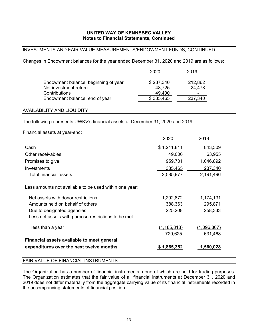#### INVESTMENTS AND FAIR VALUE MEASUREMENTS/ENDOWMENT FUNDS, CONTINUED

Changes in Endowment balances for the year ended December 31. 2020 and 2019 are as follows:

|                                      | 2020      | 2019    |
|--------------------------------------|-----------|---------|
| Endowment balance, beginning of year | \$237,340 | 212,862 |
| Net investment return                | 48,725    | 24,478  |
| Contributions                        | 49,400    |         |
| Endowment balance, end of year       | \$335,465 | 237,340 |

#### AVAILABILITY AND LIQUIDITY

The following represents UWKV's financial assets at December 31, 2020 and 2019:

Financial assets at year-end:

|                                                        | 2020               | 2019             |
|--------------------------------------------------------|--------------------|------------------|
| Cash                                                   | \$1,241,811        | 843,309          |
| Other receivables                                      | 49,000             | 63,955           |
| Promises to give                                       | 959,701            | 1,046,892        |
| Investments                                            | 335,465            | 237,340          |
| Total financial assets                                 | 2,585,977          | 2,191,496        |
| Less amounts not available to be used within one year: |                    |                  |
| Net assets with donor restrictions                     | 1,292,872          | 1,174,131        |
| Amounts held on behalf of others                       | 388,363            | 295,871          |
| Due to designated agencies                             | 225,208            | 258,333          |
| Less net assets with purpose restrictions to be met    |                    |                  |
| less than a year                                       | (1, 185, 818)      | (1,096,867)      |
|                                                        | 720,625            | 631,468          |
| Financial assets available to meet general             |                    |                  |
| expenditures over the next twelve months               | <u>\$1,865,352</u> | <u>1,560,028</u> |
| TAID VALLIE OF FINIANOIAL INCTDUMENTO                  |                    |                  |

#### FAIR VALUE OF FINANCIAL INSTRUMENTS

The Organization has a number of financial instruments, none of which are held for trading purposes. The Organization estimates that the fair value of all financial instruments at December 31, 2020 and 2019 does not differ materially from the aggregate carrying value of its financial instruments recorded in the accompanying statements of financial position.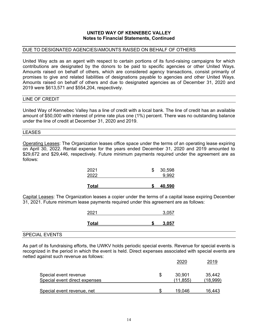#### DUE TO DESIGNATED AGENCIES/AMOUNTS RAISED ON BEHALF OF OTHERS

United Way acts as an agent with respect to certain portions of its fund-raising campaigns for which contributions are designated by the donors to be paid to specific agencies or other United Ways. Amounts raised on behalf of others, which are considered agency transactions, consist primarily of promises to give and related liabilities of designations payable to agencies and other United Ways. Amounts raised on behalf of others and due to designated agencies as of December 31, 2020 and 2019 were \$613,571 and \$554,204, respectively.

#### LINE OF CREDIT

United Way of Kennebec Valley has a line of credit with a local bank. The line of credit has an available amount of \$50,000 with interest of prime rate plus one (1%) percent. There was no outstanding balance under the line of credit at December 31, 2020 and 2019.

#### LEASES

Operating Leases: The Organization leases office space under the terms of an operating lease expiring on April 30, 2022. Rental expense for the years ended December 31, 2020 and 2019 amounted to \$29,672 and \$29,446, respectively. Future minimum payments required under the agreement are as follows:

| <b>Total</b> | 40.590       |
|--------------|--------------|
| 2022         | 9,992        |
| 2021         | \$<br>30,598 |

Capital Leases: The Organization leases a copier under the terms of a capital lease expiring December 31, 2021. Future minimum lease payments required under this agreement are as follows:

 2021 3,057 **Total \$ 3,057** 

#### SPECIAL EVENTS

As part of its fundraising efforts, the UWKV holds periodic special events. Revenue for special events is recognized in the period in which the event is held. Direct expenses associated with special events are netted against such revenue as follows:

|                               |   | 2020     | <u> 2019</u> |
|-------------------------------|---|----------|--------------|
| Special event revenue         | S | 30,901   | 35,442       |
| Special event direct expenses |   | (11,855) | (18,999)     |
| Special event revenue, net    |   | 19.046   | 16 443       |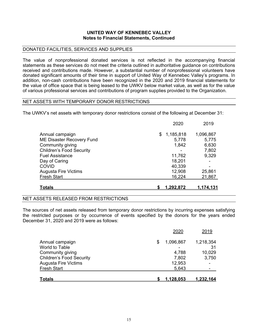#### DONATED FACILITIES, SERVICES AND SUPPLIES

The value of nonprofessional donated services is not reflected in the accompanying financial statements as these services do not meet the criteria outlined in authoritative guidance on contributions received and contributions made. However, a substantial number of nonprofessional volunteers have donated significant amounts of their time in support of United Way of Kennebec Valley's programs. In addition, non-cash contributions have been recognized in the 2020 and 2019 financial statements for the value of office space that is being leased to the UWKV below market value, as well as for the value of various professional services and contributions of program supplies provided to the Organization.

#### NET ASSETS WITH TEMPORARY DONOR RESTRICTIONS

The UWKV's net assets with temporary donor restrictions consist of the following at December 31:

| <u>Totals</u>                   | <u>1.292.872</u> | 1.174.131 |
|---------------------------------|------------------|-----------|
| <b>Fresh Start</b>              | 16,224           | 21,867    |
| <b>Augusta Fire Victims</b>     | 12,908           | 25,861    |
| <b>COVID</b>                    | 40,339           | -         |
| Day of Caring                   | 18,201           |           |
| <b>Fuel Assistance</b>          | 11,762           | 9,329     |
| <b>Children's Food Security</b> |                  | 7,802     |
| Community giving                | 1,842            | 6,630     |
| ME Disaster Recovery Fund       | 5,778            | 5,775     |
| Annual campaign                 | 1,185,818<br>SS. | 1,096,867 |
|                                 | 2020             | 2019      |
|                                 |                  |           |

#### NET ASSETS RELEASED FROM RESTRICTIONS

The sources of net assets released from temporary donor restrictions by incurring expenses satisfying the restricted purposes or by occurrence of events specified by the donors for the years ended December 31, 2020 and 2019 were as follows:

| <b>Totals</b>                   |   | <u>.128.053</u> | <u>1.232.164</u> |
|---------------------------------|---|-----------------|------------------|
| <b>Fresh Start</b>              |   | 5,643           |                  |
| <b>Augusta Fire Victims</b>     |   | 12,953          |                  |
| <b>Children's Food Security</b> |   | 7,802           | 3,750            |
| Community giving                |   | 4,788           | 10,029           |
| World to Table                  |   |                 | 31               |
| Annual campaign                 | S | 1,096,867       | 1,218,354        |
|                                 |   | 2020            | 2019             |